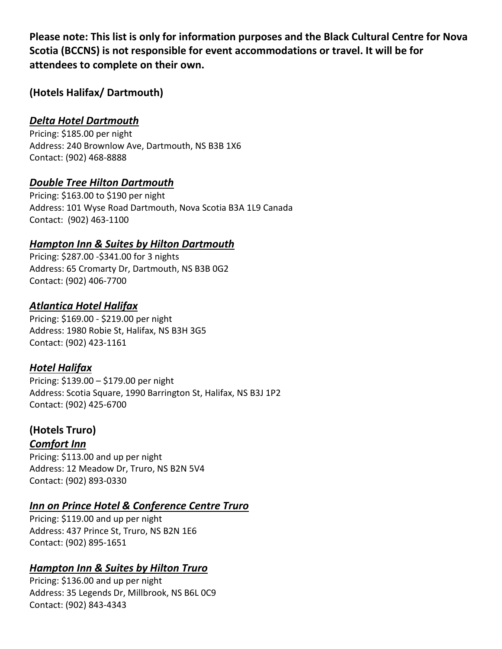**Please note: This list is only for information purposes and the Black Cultural Centre for Nova Scotia (BCCNS) is not responsible for event accommodations or travel. It will be for attendees to complete on their own.**

**(Hotels Halifax/ Dartmouth)**

# *Delta Hotel Dartmouth*

Pricing: \$185.00 per night Address: 240 Brownlow Ave, Dartmouth, NS B3B 1X6 Contact: (902) 468-8888

## *Double Tree Hilton Dartmouth*

Pricing: \$163.00 to \$190 per night Address: [101 Wyse Road Dartmouth, Nova Scotia B3A 1L9 Canada](https://www.google.com/maps/search/?api=1&query=DoubleTree%20by%20Hilton%20Halifax%20Dartmouth,%20Dartmouth,%20Canada/) Contact: [\(902\) 463-1100](https://www.google.ca/search?q=double+tree+hotel+dartmouth&sxsrf=APq-WBvQzJ8sgnV34S5q5vb-Gz03JrsQsw%3A1650992190374&ei=PiRoYsXCFpunptQPpYyBqA0&hotel_occupancy=2&gs_ssp=eJwFwUsKgCAQAFDaBp2gjZvWOX4QPUKXCG2GXBiCjCCevvfW7XxPALwn4HRaLuGQwyQbFViy4J1S6IMc6XEaIZK3PoIic-1YeyokuBGJXJmKwNj4q53zD9YQGYE&oq=double&gs_lcp=Cgdnd3Mtd2l6EAEYADIKCC4QxwEQrwEQJzIECAAQQzIECAAQQzIOCC4QgAQQxwEQrwEQ1AIyCwguEIAEEMcBEK8BMgsIABCABBCxAxCDATILCAAQgAQQsQMQgwEyBQgAEIAEMgUIABCABDILCAAQgAQQsQMQgwE6DQguEMcBEK8BEOoCECc6BwgjEOoCECc6BAgjECc6CgguEMcBENEDEEM6CgguEMcBEK8BEEM6BAguEEM6CAgAEIAEELEDOg4ILhCABBCxAxDHARCjAjoRCC4QgAQQsQMQgwEQxwEQowI6CggAELEDEIMBEEM6DQguELEDEMcBEKMCEEM6BwguENQCEEM6CAguELEDEIMBOg4ILhCABBCxAxCDARDUAjoICC4QgAQQsQNKBAhBGABKBAhGGABQAFjoDGC4HmgBcAF4AIABmQGIAeAFkgEDMC42mAEAoAEBsAEKwAEB&sclient=gws-wiz)

#### *Hampton Inn & Suites by Hilton Dartmouth*

Pricing: \$287.00 -\$341.00 for 3 nights Address: 65 Cromarty Dr, Dartmouth, NS B3B 0G2 Contact: (902) 406-7700

# *Atlantica Hotel Halifax*

Pricing: \$169.00 - \$219.00 per night Address: 1980 Robie St, Halifax, NS B3H 3G5 Contact: (902) 423-1161

# *Hotel Halifax*

Pricing: \$139.00 – \$179.00 per night Address: Scotia Square, 1990 Barrington St, Halifax, NS B3J 1P2 Contact: (902) 425-6700

# **(Hotels Truro)**

# *Comfort Inn*

Pricing: \$113.00 and up per night Address: 12 Meadow Dr, Truro, NS B2N 5V4 Contact: (902) 893-0330

# *Inn on Prince Hotel & Conference Centre Truro*

Pricing: \$119.00 and up per night Address: 437 Prince St, Truro, NS B2N 1E6 Contact: (902) 895-1651

# *Hampton Inn & Suites by Hilton Truro*

Pricing: \$136.00 and up per night Address: 35 Legends Dr, Millbrook, NS B6L 0C9 Contact: (902) 843-4343